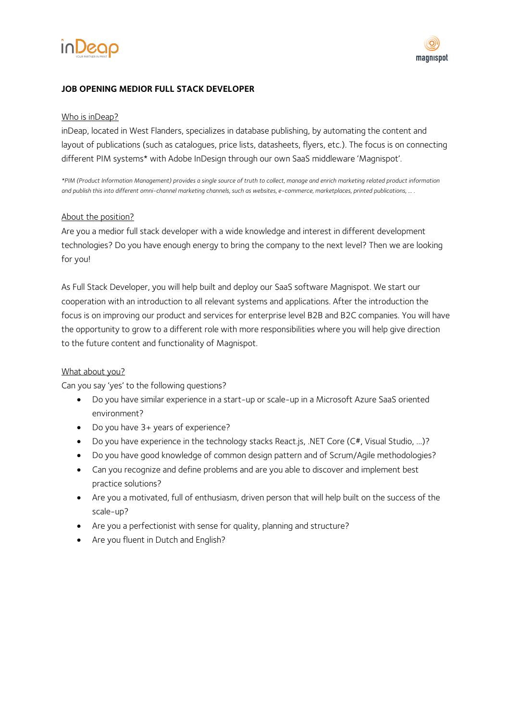



# **JOB OPENING MEDIOR FULL STACK DEVELOPER**

#### Who is inDeap?

inDeap, located in West Flanders, specializes in database publishing, by automating the content and layout of publications (such as catalogues, price lists, datasheets, flyers, etc.). The focus is on connecting different PIM systems\* with Adobe InDesign through our own SaaS middleware 'Magnispot'.

*\*PIM (Product Information Management) provides a single source of truth to collect, manage and enrich marketing related product information and publish this into different omni-channel marketing channels, such as websites, e-commerce, marketplaces, printed publications, … .*

#### About the position?

Are you a medior full stack developer with a wide knowledge and interest in different development technologies? Do you have enough energy to bring the company to the next level? Then we are looking for you!

As Full Stack Developer, you will help built and deploy our SaaS software Magnispot. We start our cooperation with an introduction to all relevant systems and applications. After the introduction the focus is on improving our product and services for enterprise level B2B and B2C companies. You will have the opportunity to grow to a different role with more responsibilities where you will help give direction to the future content and functionality of Magnispot.

### What about you?

Can you say 'yes' to the following questions?

- Do you have similar experience in a start-up or scale-up in a Microsoft Azure SaaS oriented environment?
- Do you have 3+ years of experience?
- Do you have experience in the technology stacks React.js, .NET Core (C#, Visual Studio, ...)?
- Do you have good knowledge of common design pattern and of Scrum/Agile methodologies?
- Can you recognize and define problems and are you able to discover and implement best practice solutions?
- Are you a motivated, full of enthusiasm, driven person that will help built on the success of the scale-up?
- Are you a perfectionist with sense for quality, planning and structure?
- Are you fluent in Dutch and English?